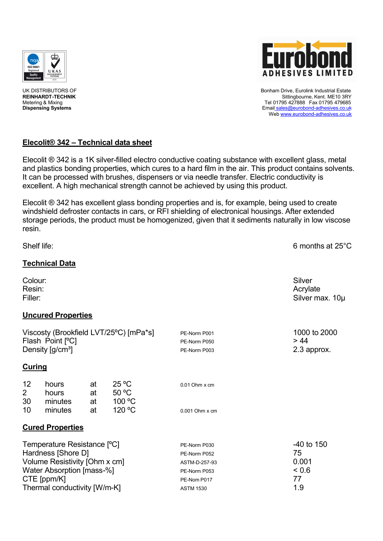



UK DISTRIBUTORS OF Bonham Drive, Eurolink Industrial Estate REINHARDT-TECHNIK STREEP STREEP TO A STREEP THE STREEP TO A STREEP THE STREEP THAT A SITTING STREEP THE STREEP TH<br>The U1795 427888 Fax 01795 479685 AM SITTING STREEP THE STREEP THE STREEP THE STREEP THE STREEP THE STREEP T Metering & Mixing Tel 01795 427888 Fax 01795 479685<br>
Dispensing Systems Tel 01795 427888 Fax 01795 479685<br>
Dispensing Systems **Dispensing Systems** Email sales@eurobond-adhesives.co.uk Web www.eurobond-adhesives.co.uk

# **ElecolitÄ 342 – Technical data sheet**

Elecolit ® 342 is a 1K silver-filled electro conductive coating substance with excellent glass, metal and plastics bonding properties, which cures to a hard film in the air. This product contains solvents. It can be processed with brushes, dispensers or via needle transfer. Electric conductivity is excellent. A high mechanical strength cannot be achieved by using this product.

Elecolit  $\mathcal D$  342 has excellent glass bonding properties and is, for example, being used to create windshield defroster contacts in cars, or RFI shielding of electronical housings. After extended storage periods, the product must be homogenized, given that it sediments naturally in low viscose resin.

| Shelf life:                                                                                                                                                    |                           |                |                                   |                                                                                                  | 6 months at 25°C                              |
|----------------------------------------------------------------------------------------------------------------------------------------------------------------|---------------------------|----------------|-----------------------------------|--------------------------------------------------------------------------------------------------|-----------------------------------------------|
|                                                                                                                                                                | <b>Technical Data</b>     |                |                                   |                                                                                                  |                                               |
| Colour:<br>Resin:<br>Filler:                                                                                                                                   |                           |                |                                   |                                                                                                  | Silver<br>Acrylate<br>Silver max. 10µ         |
|                                                                                                                                                                | <b>Uncured Properties</b> |                |                                   |                                                                                                  |                                               |
| Viscosty (Brookfield LVT/25°C) [mPa*s]<br>Flash Point [°C]<br>Density [g/cm <sup>3</sup> ]                                                                     |                           |                |                                   | PE-Norm P001<br>PE-Norm P050<br>PE-Norm P003                                                     | 1000 to 2000<br>> 44<br>2.3 approx.           |
| <b>Curing</b>                                                                                                                                                  |                           |                |                                   |                                                                                                  |                                               |
| 12<br>$\overline{2}$<br>30                                                                                                                                     | hours<br>hours<br>minutes | at<br>at<br>at | $25^{\circ}$ C<br>50 °C<br>100 °C | $0.01$ Ohm $x$ cm                                                                                |                                               |
| 10                                                                                                                                                             | minutes                   | at             | 120 °C                            | 0.001 Ohm x cm                                                                                   |                                               |
|                                                                                                                                                                | <b>Cured Properties</b>   |                |                                   |                                                                                                  |                                               |
| Temperature Resistance [°C]<br>Hardness [Shore D]<br>Volume Resistivity [Ohm x cm]<br>Water Absorption [mass-%]<br>CTE [ppm/K]<br>Thermal conductivity [W/m-K] |                           |                |                                   | PE-Norm P030<br>PE-Norm P052<br>ASTM-D-257-93<br>PE-Norm P053<br>PE-Nom P017<br><b>ASTM 1530</b> | -40 to 150<br>75<br>0.001<br>0.6<br>77<br>1.9 |